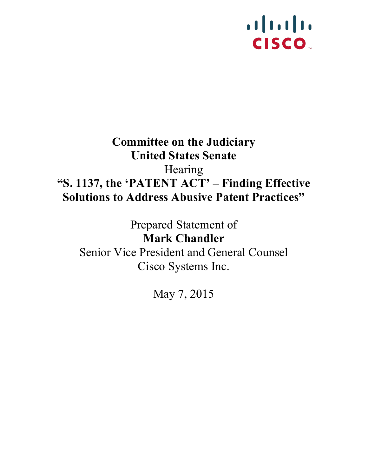## $1111111$ **CISCO**

## **Committee on the Judiciary United States Senate** Hearing **"S. 1137, the 'PATENT ACT' – Finding Effective Solutions to Address Abusive Patent Practices"**

Prepared Statement of **Mark Chandler** Senior Vice President and General Counsel Cisco Systems Inc.

May 7, 2015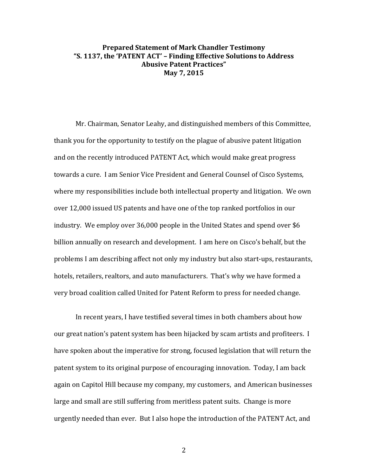## **Prepared Statement of Mark Chandler Testimony** "S. 1137, the 'PATENT ACT' - Finding Effective Solutions to Address **Abusive Patent Practices" May 7, 2015**

Mr. Chairman, Senator Leahy, and distinguished members of this Committee, thank you for the opportunity to testify on the plague of abusive patent litigation and on the recently introduced PATENT Act, which would make great progress towards a cure. I am Senior Vice President and General Counsel of Cisco Systems, where my responsibilities include both intellectual property and litigation. We own over 12,000 issued US patents and have one of the top ranked portfolios in our industry. We employ over 36,000 people in the United States and spend over \$6 billion annually on research and development. I am here on Cisco's behalf, but the problems I am describing affect not only my industry but also start-ups, restaurants, hotels, retailers, realtors, and auto manufacturers. That's why we have formed a very broad coalition called United for Patent Reform to press for needed change.

In recent years, I have testified several times in both chambers about how our great nation's patent system has been hijacked by scam artists and profiteers. I have spoken about the imperative for strong, focused legislation that will return the patent system to its original purpose of encouraging innovation. Today, I am back again on Capitol Hill because my company, my customers, and American businesses large and small are still suffering from meritless patent suits. Change is more urgently needed than ever. But I also hope the introduction of the PATENT Act, and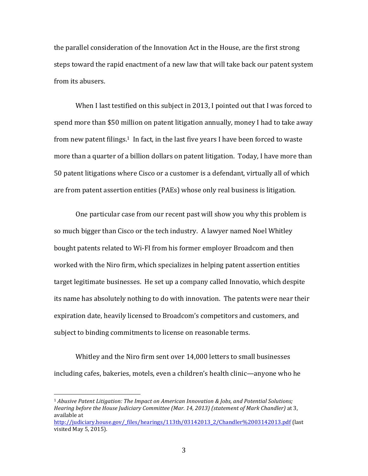the parallel consideration of the Innovation Act in the House, are the first strong steps toward the rapid enactment of a new law that will take back our patent system from its abusers.

When I last testified on this subject in 2013, I pointed out that I was forced to spend more than \$50 million on patent litigation annually, money I had to take away from new patent filings.<sup>1</sup> In fact, in the last five years I have been forced to waste more than a quarter of a billion dollars on patent litigation. Today, I have more than 50 patent litigations where Cisco or a customer is a defendant, virtually all of which are from patent assertion entities (PAEs) whose only real business is litigation.

One particular case from our recent past will show you why this problem is so much bigger than Cisco or the tech industry. A lawyer named Noel Whitley bought patents related to Wi-FI from his former employer Broadcom and then worked with the Niro firm, which specializes in helping patent assertion entities target legitimate businesses. He set up a company called Innovatio, which despite its name has absolutely nothing to do with innovation. The patents were near their expiration date, heavily licensed to Broadcom's competitors and customers, and subject to binding commitments to license on reasonable terms.

Whitley and the Niro firm sent over 14,000 letters to small businesses including cafes, bakeries, motels, even a children's health clinic—anyone who he

<sup>&</sup>lt;sup>1</sup> Abusive Patent Litigation: The Impact on American Innovation & Jobs, and Potential Solutions; *Hearing before the House Judiciary Committee (Mar. 14, 2013)* (statement of Mark Chandler) at 3, available at http://judiciary.house.gov/\_files/hearings/113th/03142013\_2/Chandler%2003142013.pdf (last 

visited May 5, 2015).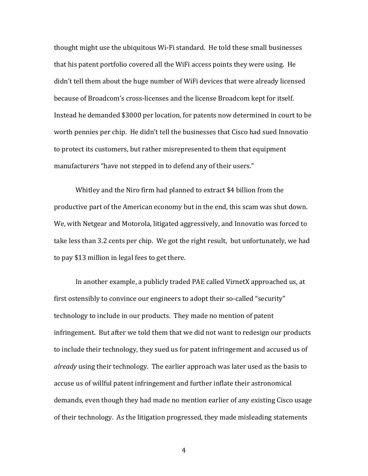thought might use the ubiquitous Wi-Fi standard. He told these small businesses that his patent portfolio covered all the WiFi access points they were using. He didn't tell them about the huge number of WiFi devices that were already licensed because of Broadcom's cross-licenses and the license Broadcom kept for itself. Instead he demanded \$3000 per location, for patents now determined in court to be worth pennies per chip. He didn't tell the businesses that Cisco had sued Innovatio to protect its customers, but rather misrepresented to them that equipment manufacturers "have not stepped in to defend any of their users."

Whitley and the Niro firm had planned to extract \$4 billion from the productive part of the American economy but in the end, this scam was shut down. We, with Netgear and Motorola, litigated aggressively, and Innovatio was forced to take less than 3.2 cents per chip. We got the right result, but unfortunately, we had to pay \$13 million in legal fees to get there.

In another example, a publicly traded PAE called VirnetX approached us, at first ostensibly to convince our engineers to adopt their so-called "security" technology to include in our products. They made no mention of patent infringement. But after we told them that we did not want to redesign our products to include their technology, they sued us for patent infringement and accused us of *already* using their technology. The earlier approach was later used as the basis to accuse us of willful patent infringement and further inflate their astronomical demands, even though they had made no mention earlier of any existing Cisco usage of their technology. As the litigation progressed, they made misleading statements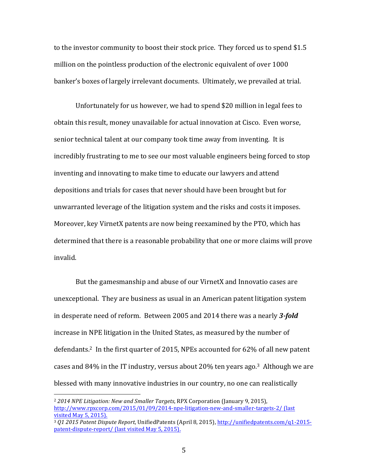to the investor community to boost their stock price. They forced us to spend \$1.5 million on the pointless production of the electronic equivalent of over 1000 banker's boxes of largely irrelevant documents. Ultimately, we prevailed at trial.

Unfortunately for us however, we had to spend \$20 million in legal fees to obtain this result, money unavailable for actual innovation at Cisco. Even worse, senior technical talent at our company took time away from inventing. It is incredibly frustrating to me to see our most valuable engineers being forced to stop inventing and innovating to make time to educate our lawyers and attend depositions and trials for cases that never should have been brought but for unwarranted leverage of the litigation system and the risks and costs it imposes. Moreover, key VirnetX patents are now being reexamined by the PTO, which has determined that there is a reasonable probability that one or more claims will prove invalid.

But the gamesmanship and abuse of our VirnetX and Innovatio cases are unexceptional. They are business as usual in an American patent litigation system in desperate need of reform. Between 2005 and 2014 there was a nearly 3-*fold* increase in NPE litigation in the United States, as measured by the number of defendants.<sup>2</sup> In the first quarter of 2015, NPEs accounted for 62% of all new patent cases and  $84\%$  in the IT industry, versus about  $20\%$  ten years ago.<sup>3</sup> Although we are blessed with many innovative industries in our country, no one can realistically

<sup>&</sup>lt;sup>2</sup> 2014 NPE Litigation: New and Smaller Targets, RPX Corporation (January 9, 2015), http://www.rpxcorp.com/2015/01/09/2014-npe-litigation-new-and-smaller-targets-2/ (last visited May 5, 2015).

<sup>&</sup>lt;sup>3</sup> Q1 2015 Patent Dispute Report, UnifiedPatents (April 8, 2015), http://unifiedpatents.com/q1-2015patent-dispute-report/ (last visited May 5, 2015).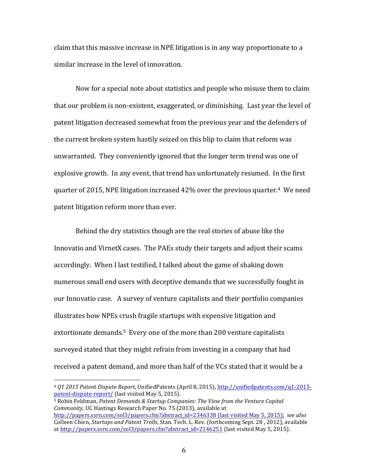claim that this massive increase in NPE litigation is in any way proportionate to a similar increase in the level of innovation.

Now for a special note about statistics and people who misuse them to claim that our problem is non-existent, exaggerated, or diminishing. Last year the level of patent litigation decreased somewhat from the previous year and the defenders of the current broken system hastily seized on this blip to claim that reform was unwarranted. They conveniently ignored that the longer term trend was one of explosive growth. In any event, that trend has unfortunately resumed. In the first quarter of 2015, NPE litigation increased  $42\%$  over the previous quarter.<sup>4</sup> We need patent litigation reform more than ever.

Behind the dry statistics though are the real stories of abuse like the Innovatio and VirnetX cases. The PAEs study their targets and adjust their scams accordingly. When I last testified, I talked about the game of shaking down numerous small end users with deceptive demands that we successfully fought in our Innovatio case. A survey of venture capitalists and their portfolio companies illustrates how NPEs crush fragile startups with expensive litigation and extortionate demands.<sup>5</sup> Every one of the more than 200 venture capitalists surveyed stated that they might refrain from investing in a company that had received a patent demand, and more than half of the VCs stated that it would be a

 $5$  Robin Feldman, *Patent Demands & Startup Companies: The View from the Venture Capital Community*, UC Hastings Research Paper No. 75 (2013), available at http://papers.ssrn.com/sol3/papers.cfm?abstract\_id=2346338 (last visited May 5, 2015); see also

<sup>4</sup> *Q1 2015 Patent Dispute Report*, UnifiedPatents (April 8, 2015), http://unifiedpatents.com/q1-2015 patent-dispute-report/ (last visited May 5, 2015).

Colleen Chien, *Startups and Patent Trolls*, Stan. Tech. L. Rev. (forthcoming Sept. 28, 2012), available at  $http://papers.ssrn.com/sol3/papers.cfm?abstract_id=2146251$  (last visited May 5, 2015).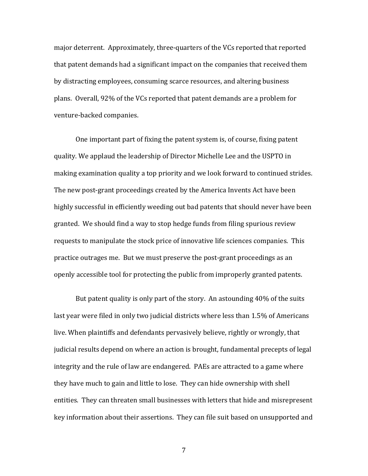major deterrent. Approximately, three-quarters of the VCs reported that reported that patent demands had a significant impact on the companies that received them by distracting employees, consuming scarce resources, and altering business plans. Overall, 92% of the VCs reported that patent demands are a problem for venture-backed companies.

One important part of fixing the patent system is, of course, fixing patent quality. We applaud the leadership of Director Michelle Lee and the USPTO in making examination quality a top priority and we look forward to continued strides. The new post-grant proceedings created by the America Invents Act have been highly successful in efficiently weeding out bad patents that should never have been granted. We should find a way to stop hedge funds from filing spurious review requests to manipulate the stock price of innovative life sciences companies. This practice outrages me. But we must preserve the post-grant proceedings as an openly accessible tool for protecting the public from improperly granted patents.

But patent quality is only part of the story. An astounding 40% of the suits last year were filed in only two judicial districts where less than 1.5% of Americans live. When plaintiffs and defendants pervasively believe, rightly or wrongly, that judicial results depend on where an action is brought, fundamental precepts of legal integrity and the rule of law are endangered. PAEs are attracted to a game where they have much to gain and little to lose. They can hide ownership with shell entities. They can threaten small businesses with letters that hide and misrepresent key information about their assertions. They can file suit based on unsupported and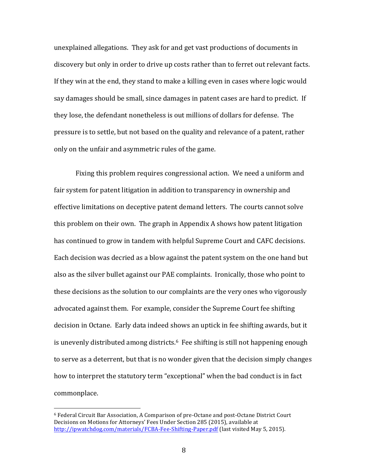unexplained allegations. They ask for and get vast productions of documents in discovery but only in order to drive up costs rather than to ferret out relevant facts. If they win at the end, they stand to make a killing even in cases where logic would say damages should be small, since damages in patent cases are hard to predict. If they lose, the defendant nonetheless is out millions of dollars for defense. The pressure is to settle, but not based on the quality and relevance of a patent, rather only on the unfair and asymmetric rules of the game.

Fixing this problem requires congressional action. We need a uniform and fair system for patent litigation in addition to transparency in ownership and effective limitations on deceptive patent demand letters. The courts cannot solve this problem on their own. The graph in Appendix A shows how patent litigation has continued to grow in tandem with helpful Supreme Court and CAFC decisions. Each decision was decried as a blow against the patent system on the one hand but also as the silver bullet against our PAE complaints. Ironically, those who point to these decisions as the solution to our complaints are the very ones who vigorously advocated against them. For example, consider the Supreme Court fee shifting decision in Octane. Early data indeed shows an uptick in fee shifting awards, but it is unevenly distributed among districts. $6$  Fee shifting is still not happening enough to serve as a deterrent, but that is no wonder given that the decision simply changes how to interpret the statutory term "exceptional" when the bad conduct is in fact commonplace.

 $6$  Federal Circuit Bar Association, A Comparison of pre-Octane and post-Octane District Court Decisions on Motions for Attorneys' Fees Under Section 285 (2015), available at http://ipwatchdog.com/materials/FCBA-Fee-Shifting-Paper.pdf (last visited May 5, 2015).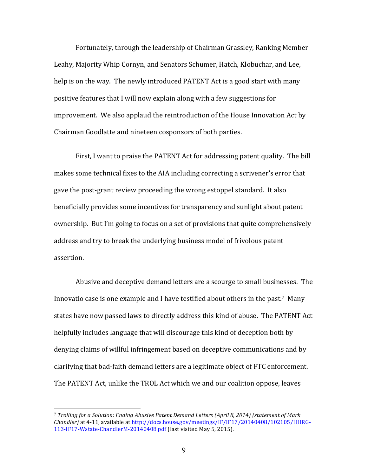Fortunately, through the leadership of Chairman Grassley, Ranking Member Leahy, Majority Whip Cornyn, and Senators Schumer, Hatch, Klobuchar, and Lee, help is on the way. The newly introduced PATENT Act is a good start with many positive features that I will now explain along with a few suggestions for improvement. We also applaud the reintroduction of the House Innovation Act by Chairman Goodlatte and nineteen cosponsors of both parties.

First, I want to praise the PATENT Act for addressing patent quality. The bill makes some technical fixes to the AIA including correcting a scrivener's error that gave the post-grant review proceeding the wrong estoppel standard. It also beneficially provides some incentives for transparency and sunlight about patent ownership. But I'm going to focus on a set of provisions that quite comprehensively address and try to break the underlying business model of frivolous patent assertion.

Abusive and deceptive demand letters are a scourge to small businesses. The Innovatio case is one example and I have testified about others in the past.<sup>7</sup> Many states have now passed laws to directly address this kind of abuse. The PATENT Act helpfully includes language that will discourage this kind of deception both by denying claims of willful infringement based on deceptive communications and by clarifying that bad-faith demand letters are a legitimate object of FTC enforcement. The PATENT Act, unlike the TROL Act which we and our coalition oppose, leaves

<sup>&</sup>lt;sup>7</sup> Trolling for a Solution: Ending Abusive Patent Demand Letters (April 8, 2014) (statement of Mark *Chandler*) at 4-11, available at http://docs.house.gov/meetings/IF/IF17/20140408/102105/HHRG-113-IF17-Wstate-ChandlerM-20140408.pdf (last visited May 5, 2015).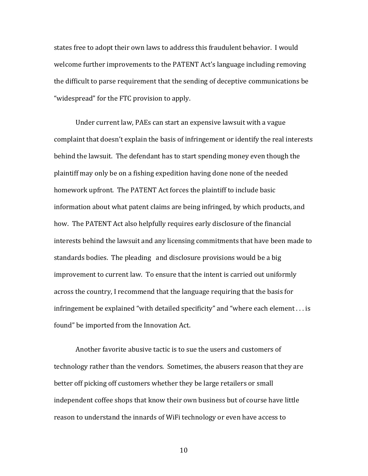states free to adopt their own laws to address this fraudulent behavior. I would welcome further improvements to the PATENT Act's language including removing the difficult to parse requirement that the sending of deceptive communications be "widespread" for the FTC provision to apply.

Under current law, PAEs can start an expensive lawsuit with a vague complaint that doesn't explain the basis of infringement or identify the real interests behind the lawsuit. The defendant has to start spending money even though the plaintiff may only be on a fishing expedition having done none of the needed homework upfront. The PATENT Act forces the plaintiff to include basic information about what patent claims are being infringed, by which products, and how. The PATENT Act also helpfully requires early disclosure of the financial interests behind the lawsuit and any licensing commitments that have been made to standards bodies. The pleading and disclosure provisions would be a big improvement to current law. To ensure that the intent is carried out uniformly across the country, I recommend that the language requiring that the basis for infringement be explained "with detailed specificity" and "where each element  $\dots$  is found" be imported from the Innovation Act.

Another favorite abusive tactic is to sue the users and customers of technology rather than the vendors. Sometimes, the abusers reason that they are better off picking off customers whether they be large retailers or small independent coffee shops that know their own business but of course have little reason to understand the innards of WiFi technology or even have access to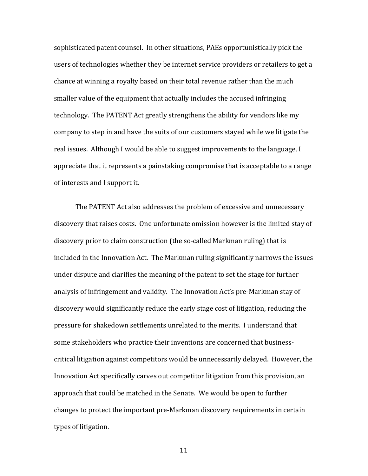sophisticated patent counsel. In other situations, PAEs opportunistically pick the users of technologies whether they be internet service providers or retailers to get a chance at winning a royalty based on their total revenue rather than the much smaller value of the equipment that actually includes the accused infringing technology. The PATENT Act greatly strengthens the ability for vendors like my company to step in and have the suits of our customers stayed while we litigate the real issues. Although I would be able to suggest improvements to the language, I appreciate that it represents a painstaking compromise that is acceptable to a range of interests and I support it.

The PATENT Act also addresses the problem of excessive and unnecessary discovery that raises costs. One unfortunate omission however is the limited stay of discovery prior to claim construction (the so-called Markman ruling) that is included in the Innovation Act. The Markman ruling significantly narrows the issues under dispute and clarifies the meaning of the patent to set the stage for further analysis of infringement and validity. The Innovation Act's pre-Markman stay of discovery would significantly reduce the early stage cost of litigation, reducing the pressure for shakedown settlements unrelated to the merits. I understand that some stakeholders who practice their inventions are concerned that businesscritical litigation against competitors would be unnecessarily delayed. However, the Innovation Act specifically carves out competitor litigation from this provision, an approach that could be matched in the Senate. We would be open to further changes to protect the important pre-Markman discovery requirements in certain types of litigation.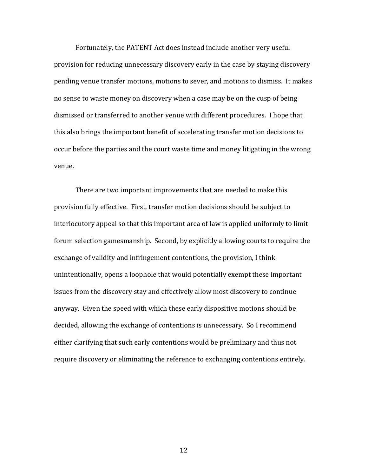Fortunately, the PATENT Act does instead include another very useful provision for reducing unnecessary discovery early in the case by staying discovery pending venue transfer motions, motions to sever, and motions to dismiss. It makes no sense to waste money on discovery when a case may be on the cusp of being dismissed or transferred to another venue with different procedures. I hope that this also brings the important benefit of accelerating transfer motion decisions to occur before the parties and the court waste time and money litigating in the wrong venue. 

There are two important improvements that are needed to make this provision fully effective. First, transfer motion decisions should be subject to interlocutory appeal so that this important area of law is applied uniformly to limit forum selection gamesmanship. Second, by explicitly allowing courts to require the exchange of validity and infringement contentions, the provision, I think unintentionally, opens a loophole that would potentially exempt these important issues from the discovery stay and effectively allow most discovery to continue anyway. Given the speed with which these early dispositive motions should be decided, allowing the exchange of contentions is unnecessary. So I recommend either clarifying that such early contentions would be preliminary and thus not require discovery or eliminating the reference to exchanging contentions entirely.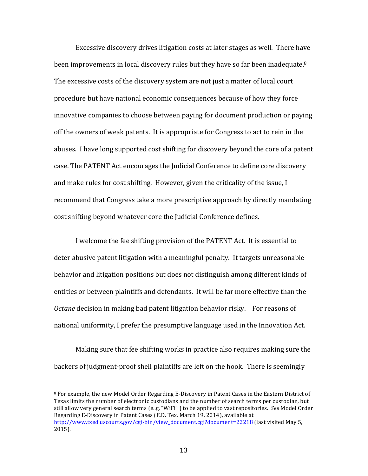Excessive discovery drives litigation costs at later stages as well. There have been improvements in local discovery rules but they have so far been inadequate.<sup>8</sup> The excessive costs of the discovery system are not just a matter of local court procedure but have national economic consequences because of how they force innovative companies to choose between paying for document production or paying off the owners of weak patents. It is appropriate for Congress to act to rein in the abuses. I have long supported cost shifting for discovery beyond the core of a patent case. The PATENT Act encourages the Judicial Conference to define core discovery and make rules for cost shifting. However, given the criticality of the issue, I recommend that Congress take a more prescriptive approach by directly mandating cost shifting beyond whatever core the Judicial Conference defines.

I welcome the fee shifting provision of the PATENT Act. It is essential to deter abusive patent litigation with a meaningful penalty. It targets unreasonable behavior and litigation positions but does not distinguish among different kinds of entities or between plaintiffs and defendants. It will be far more effective than the *Octane* decision in making bad patent litigation behavior risky. For reasons of national uniformity, I prefer the presumptive language used in the Innovation Act.

Making sure that fee shifting works in practice also requires making sure the backers of judgment-proof shell plaintiffs are left on the hook. There is seemingly

 $8$  For example, the new Model Order Regarding E-Discovery in Patent Cases in the Eastern District of Texas limits the number of electronic custodians and the number of search terms per custodian, but still allow very general search terms (e.g, "WiFi") to be applied to vast repositories. *See* Model Order Regarding E-Discovery in Patent Cases (E.D. Tex. March 19, 2014), available at http://www.txed.uscourts.gov/cgi-bin/view\_document.cgi?document=22218 (last visited May 5, 2015).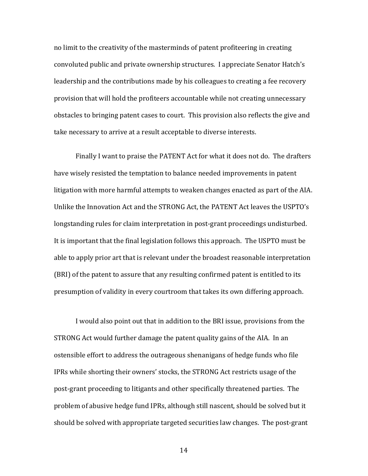no limit to the creativity of the masterminds of patent profiteering in creating convoluted public and private ownership structures. I appreciate Senator Hatch's leadership and the contributions made by his colleagues to creating a fee recovery provision that will hold the profiteers accountable while not creating unnecessary obstacles to bringing patent cases to court. This provision also reflects the give and take necessary to arrive at a result acceptable to diverse interests.

Finally I want to praise the PATENT Act for what it does not do. The drafters have wisely resisted the temptation to balance needed improvements in patent litigation with more harmful attempts to weaken changes enacted as part of the AIA. Unlike the Innovation Act and the STRONG Act, the PATENT Act leaves the USPTO's longstanding rules for claim interpretation in post-grant proceedings undisturbed. It is important that the final legislation follows this approach. The USPTO must be able to apply prior art that is relevant under the broadest reasonable interpretation (BRI) of the patent to assure that any resulting confirmed patent is entitled to its presumption of validity in every courtroom that takes its own differing approach.

I would also point out that in addition to the BRI issue, provisions from the STRONG Act would further damage the patent quality gains of the AIA. In an ostensible effort to address the outrageous shenanigans of hedge funds who file IPRs while shorting their owners' stocks, the STRONG Act restricts usage of the post-grant proceeding to litigants and other specifically threatened parties. The problem of abusive hedge fund IPRs, although still nascent, should be solved but it should be solved with appropriate targeted securities law changes. The post-grant